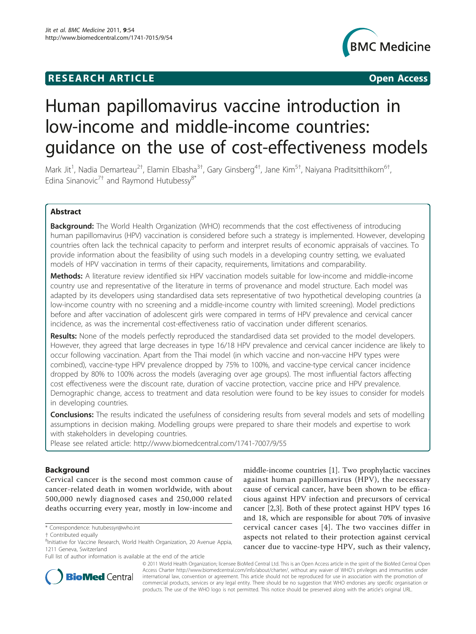## **RESEARCH ARTICLE Example 2018 12:00 Open Access**



# Human papillomavirus vaccine introduction in low-income and middle-income countries: guidance on the use of cost-effectiveness models

Mark Jit<sup>1</sup>, Nadia Demarteau<sup>2†</sup>, Elamin Elbasha<sup>3†</sup>, Gary Ginsberg<sup>4†</sup>, Jane Kim<sup>5†</sup>, Naiyana Praditsitthikorn<sup>6†</sup> , Edina Sinanovic<sup>7†</sup> and Raymond Hutubessy<sup>8\*</sup>

## Abstract

**Background:** The World Health Organization (WHO) recommends that the cost effectiveness of introducing human papillomavirus (HPV) vaccination is considered before such a strategy is implemented. However, developing countries often lack the technical capacity to perform and interpret results of economic appraisals of vaccines. To provide information about the feasibility of using such models in a developing country setting, we evaluated models of HPV vaccination in terms of their capacity, requirements, limitations and comparability.

Methods: A literature review identified six HPV vaccination models suitable for low-income and middle-income country use and representative of the literature in terms of provenance and model structure. Each model was adapted by its developers using standardised data sets representative of two hypothetical developing countries (a low-income country with no screening and a middle-income country with limited screening). Model predictions before and after vaccination of adolescent girls were compared in terms of HPV prevalence and cervical cancer incidence, as was the incremental cost-effectiveness ratio of vaccination under different scenarios.

Results: None of the models perfectly reproduced the standardised data set provided to the model developers. However, they agreed that large decreases in type 16/18 HPV prevalence and cervical cancer incidence are likely to occur following vaccination. Apart from the Thai model (in which vaccine and non-vaccine HPV types were combined), vaccine-type HPV prevalence dropped by 75% to 100%, and vaccine-type cervical cancer incidence dropped by 80% to 100% across the models (averaging over age groups). The most influential factors affecting cost effectiveness were the discount rate, duration of vaccine protection, vaccine price and HPV prevalence. Demographic change, access to treatment and data resolution were found to be key issues to consider for models in developing countries.

Conclusions: The results indicated the usefulness of considering results from several models and sets of modelling assumptions in decision making. Modelling groups were prepared to share their models and expertise to work with stakeholders in developing countries.

Please see related article:<http://www.biomedcentral.com/1741-7007/9/55>

## Background

Cervical cancer is the second most common cause of cancer-related death in women worldwide, with about 500,000 newly diagnosed cases and 250,000 related deaths occurring every year, mostly in low-income and

\* Correspondence: [hutubessyr@who.int](mailto:hutubessyr@who.int)

middle-income countries [1]. Two prophylactic vaccines against human papillomavirus (HPV), the necessary cause of cervical cancer, have been shown to be efficacious against HPV infection and precursors of cervical cancer [[2,3\]](#page-7-0). Both of these protect against HPV types 16 and 18, which are responsible for about 70% of invasive cervical cancer cases [[4\]](#page-7-0). The two vaccines differ in aspects not related to their protection against cervical cancer due to vaccine-type HPV, such as their valency,



© 2011 World Health Organization; licensee BioMed Central Ltd. This is an Open Access article in the spirit of the BioMed Central Open Access Charter [http://www.biomedcentral.com/info/about/charter/,](http://www.biomedcentral.com/info/about/charter/) without any waiver of WHO's privileges and immunities under international law, convention or agreement. This article should not be reproduced for use in association with the promotion of commercial products, services or any legal entity. There should be no suggestion that WHO endorses any specific organisation or products. The use of the WHO logo is not permitted. This notice should be preserved along with the article's original URL.

<sup>†</sup> Contributed equally <sup>8</sup>

<sup>&</sup>lt;sup>8</sup>Initiative for Vaccine Research, World Health Organization, 20 Avenue Appia, 1211 Geneva, Switzerland

Full list of author information is available at the end of the article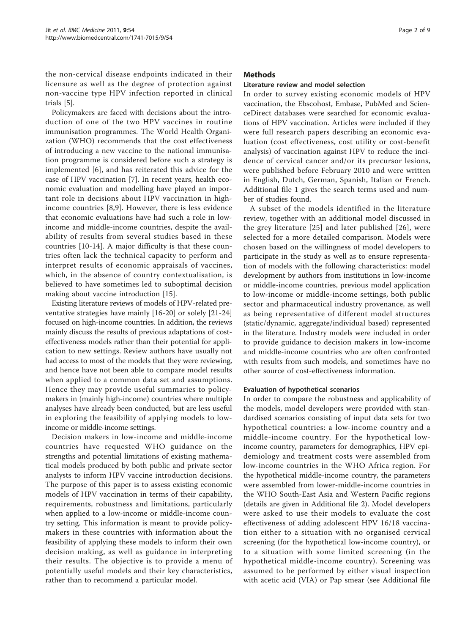the non-cervical disease endpoints indicated in their licensure as well as the degree of protection against non-vaccine type HPV infection reported in clinical trials [\[5](#page-7-0)].

Policymakers are faced with decisions about the introduction of one of the two HPV vaccines in routine immunisation programmes. The World Health Organization (WHO) recommends that the cost effectiveness of introducing a new vaccine to the national immunisation programme is considered before such a strategy is implemented [[6\]](#page-7-0), and has reiterated this advice for the case of HPV vaccination [\[7](#page-7-0)]. In recent years, health economic evaluation and modelling have played an important role in decisions about HPV vaccination in highincome countries [[8,9\]](#page-7-0). However, there is less evidence that economic evaluations have had such a role in lowincome and middle-income countries, despite the availability of results from several studies based in these countries [[10](#page-7-0)[-14](#page-8-0)]. A major difficulty is that these countries often lack the technical capacity to perform and interpret results of economic appraisals of vaccines, which, in the absence of country contextualisation, is believed to have sometimes led to suboptimal decision making about vaccine introduction [[15](#page-8-0)].

Existing literature reviews of models of HPV-related preventative strategies have mainly [\[16](#page-8-0)-[20\]](#page-8-0) or solely [[21-24](#page-8-0)] focused on high-income countries. In addition, the reviews mainly discuss the results of previous adaptations of costeffectiveness models rather than their potential for application to new settings. Review authors have usually not had access to most of the models that they were reviewing, and hence have not been able to compare model results when applied to a common data set and assumptions. Hence they may provide useful summaries to policymakers in (mainly high-income) countries where multiple analyses have already been conducted, but are less useful in exploring the feasibility of applying models to lowincome or middle-income settings.

Decision makers in low-income and middle-income countries have requested WHO guidance on the strengths and potential limitations of existing mathematical models produced by both public and private sector analysts to inform HPV vaccine introduction decisions. The purpose of this paper is to assess existing economic models of HPV vaccination in terms of their capability, requirements, robustness and limitations, particularly when applied to a low-income or middle-income country setting. This information is meant to provide policymakers in these countries with information about the feasibility of applying these models to inform their own decision making, as well as guidance in interpreting their results. The objective is to provide a menu of potentially useful models and their key characteristics, rather than to recommend a particular model.

## Methods

## Literature review and model selection

In order to survey existing economic models of HPV vaccination, the Ebscohost, Embase, PubMed and ScienceDirect databases were searched for economic evaluations of HPV vaccination. Articles were included if they were full research papers describing an economic evaluation (cost effectiveness, cost utility or cost-benefit analysis) of vaccination against HPV to reduce the incidence of cervical cancer and/or its precursor lesions, were published before February 2010 and were written in English, Dutch, German, Spanish, Italian or French. Additional file [1](#page-7-0) gives the search terms used and number of studies found.

A subset of the models identified in the literature review, together with an additional model discussed in the grey literature [[25\]](#page-8-0) and later published [[26](#page-8-0)], were selected for a more detailed comparison. Models were chosen based on the willingness of model developers to participate in the study as well as to ensure representation of models with the following characteristics: model development by authors from institutions in low-income or middle-income countries, previous model application to low-income or middle-income settings, both public sector and pharmaceutical industry provenance, as well as being representative of different model structures (static/dynamic, aggregate/individual based) represented in the literature. Industry models were included in order to provide guidance to decision makers in low-income and middle-income countries who are often confronted with results from such models, and sometimes have no other source of cost-effectiveness information.

## Evaluation of hypothetical scenarios

In order to compare the robustness and applicability of the models, model developers were provided with standardised scenarios consisting of input data sets for two hypothetical countries: a low-income country and a middle-income country. For the hypothetical lowincome country, parameters for demographics, HPV epidemiology and treatment costs were assembled from low-income countries in the WHO Africa region. For the hypothetical middle-income country, the parameters were assembled from lower-middle-income countries in the WHO South-East Asia and Western Pacific regions (details are given in Additional file [2\)](#page-7-0). Model developers were asked to use their models to evaluate the cost effectiveness of adding adolescent HPV 16/18 vaccination either to a situation with no organised cervical screening (for the hypothetical low-income country), or to a situation with some limited screening (in the hypothetical middle-income country). Screening was assumed to be performed by either visual inspection with acetic acid (VIA) or Pap smear (see Additional file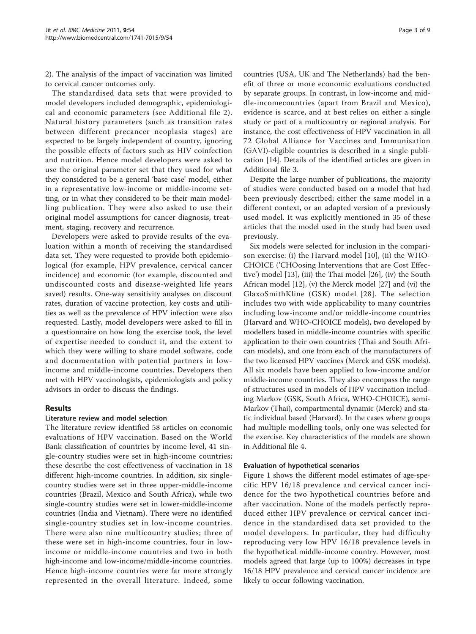[2\)](#page-7-0). The analysis of the impact of vaccination was limited to cervical cancer outcomes only.

The standardised data sets that were provided to model developers included demographic, epidemiological and economic parameters (see Additional file [2\)](#page-7-0). Natural history parameters (such as transition rates between different precancer neoplasia stages) are expected to be largely independent of country, ignoring the possible effects of factors such as HIV coinfection and nutrition. Hence model developers were asked to use the original parameter set that they used for what they considered to be a general 'base case' model, either in a representative low-income or middle-income setting, or in what they considered to be their main modelling publication. They were also asked to use their original model assumptions for cancer diagnosis, treatment, staging, recovery and recurrence.

Developers were asked to provide results of the evaluation within a month of receiving the standardised data set. They were requested to provide both epidemiological (for example, HPV prevalence, cervical cancer incidence) and economic (for example, discounted and undiscounted costs and disease-weighted life years saved) results. One-way sensitivity analyses on discount rates, duration of vaccine protection, key costs and utilities as well as the prevalence of HPV infection were also requested. Lastly, model developers were asked to fill in a questionnaire on how long the exercise took, the level of expertise needed to conduct it, and the extent to which they were willing to share model software, code and documentation with potential partners in lowincome and middle-income countries. Developers then met with HPV vaccinologists, epidemiologists and policy advisors in order to discuss the findings.

## Results

## Literature review and model selection

The literature review identified 58 articles on economic evaluations of HPV vaccination. Based on the World Bank classification of countries by income level, 41 single-country studies were set in high-income countries; these describe the cost effectiveness of vaccination in 18 different high-income countries. In addition, six singlecountry studies were set in three upper-middle-income countries (Brazil, Mexico and South Africa), while two single-country studies were set in lower-middle-income countries (India and Vietnam). There were no identified single-country studies set in low-income countries. There were also nine multicountry studies; three of these were set in high-income countries, four in lowincome or middle-income countries and two in both high-income and low-income/middle-income countries. Hence high-income countries were far more strongly represented in the overall literature. Indeed, some countries (USA, UK and The Netherlands) had the benefit of three or more economic evaluations conducted by separate groups. In contrast, in low-income and middle-incomecountries (apart from Brazil and Mexico), evidence is scarce, and at best relies on either a single study or part of a multicountry or regional analysis. For instance, the cost effectiveness of HPV vaccination in all 72 Global Alliance for Vaccines and Immunisation (GAVI)-eligible countries is described in a single publication [[14\]](#page-8-0). Details of the identified articles are given in Additional file [3](#page-7-0).

Despite the large number of publications, the majority of studies were conducted based on a model that had been previously described; either the same model in a different context, or an adapted version of a previously used model. It was explicitly mentioned in 35 of these articles that the model used in the study had been used previously.

Six models were selected for inclusion in the comparison exercise: (i) the Harvard model [[10\]](#page-7-0), (ii) the WHO-CHOICE ('CHOosing Interventions that are Cost Effective') model [\[13](#page-7-0)], (iii) the Thai model [[26\]](#page-8-0), (iv) the South African model [[12\]](#page-7-0), (v) the Merck model [\[27\]](#page-8-0) and (vi) the GlaxoSmithKline (GSK) model [[28\]](#page-8-0). The selection includes two with wide applicability to many countries including low-income and/or middle-income countries (Harvard and WHO-CHOICE models), two developed by modellers based in middle-income countries with specific application to their own countries (Thai and South African models), and one from each of the manufacturers of the two licensed HPV vaccines (Merck and GSK models). All six models have been applied to low-income and/or middle-income countries. They also encompass the range of structures used in models of HPV vaccination including Markov (GSK, South Africa, WHO-CHOICE), semi-Markov (Thai), compartmental dynamic (Merck) and static individual based (Harvard). In the cases where groups had multiple modelling tools, only one was selected for the exercise. Key characteristics of the models are shown in Additional file [4.](#page-7-0)

## Evaluation of hypothetical scenarios

Figure [1](#page-3-0) shows the different model estimates of age-specific HPV 16/18 prevalence and cervical cancer incidence for the two hypothetical countries before and after vaccination. None of the models perfectly reproduced either HPV prevalence or cervical cancer incidence in the standardised data set provided to the model developers. In particular, they had difficulty reproducing very low HPV 16/18 prevalence levels in the hypothetical middle-income country. However, most models agreed that large (up to 100%) decreases in type 16/18 HPV prevalence and cervical cancer incidence are likely to occur following vaccination.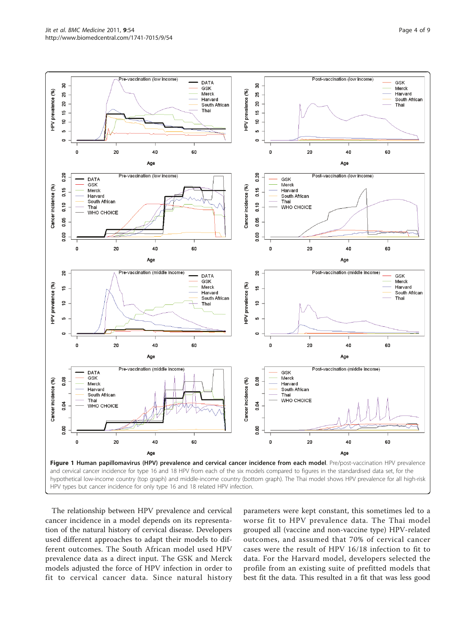<span id="page-3-0"></span>

The relationship between HPV prevalence and cervical cancer incidence in a model depends on its representation of the natural history of cervical disease. Developers used different approaches to adapt their models to different outcomes. The South African model used HPV prevalence data as a direct input. The GSK and Merck models adjusted the force of HPV infection in order to fit to cervical cancer data. Since natural history

parameters were kept constant, this sometimes led to a worse fit to HPV prevalence data. The Thai model grouped all (vaccine and non-vaccine type) HPV-related outcomes, and assumed that 70% of cervical cancer cases were the result of HPV 16/18 infection to fit to data. For the Harvard model, developers selected the profile from an existing suite of prefitted models that best fit the data. This resulted in a fit that was less good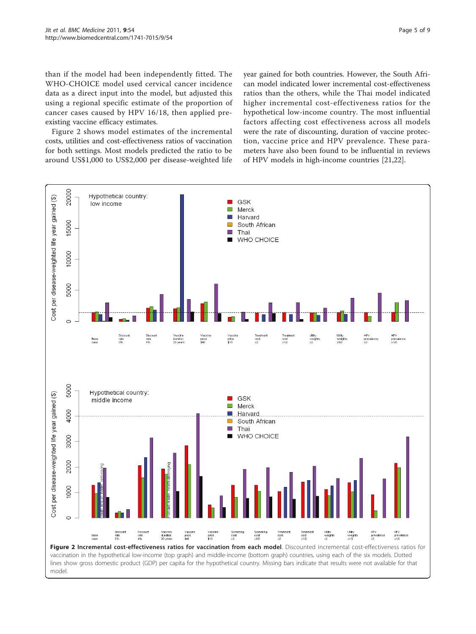than if the model had been independently fitted. The WHO-CHOICE model used cervical cancer incidence data as a direct input into the model, but adjusted this using a regional specific estimate of the proportion of cancer cases caused by HPV 16/18, then applied preexisting vaccine efficacy estimates.

Figure 2 shows model estimates of the incremental costs, utilities and cost-effectiveness ratios of vaccination for both settings. Most models predicted the ratio to be around US\$1,000 to US\$2,000 per disease-weighted life year gained for both countries. However, the South African model indicated lower incremental cost-effectiveness ratios than the others, while the Thai model indicated higher incremental cost-effectiveness ratios for the hypothetical low-income country. The most influential factors affecting cost effectiveness across all models were the rate of discounting, duration of vaccine protection, vaccine price and HPV prevalence. These parameters have also been found to be influential in reviews of HPV models in high-income countries [[21,22\]](#page-8-0).

![](_page_4_Figure_5.jpeg)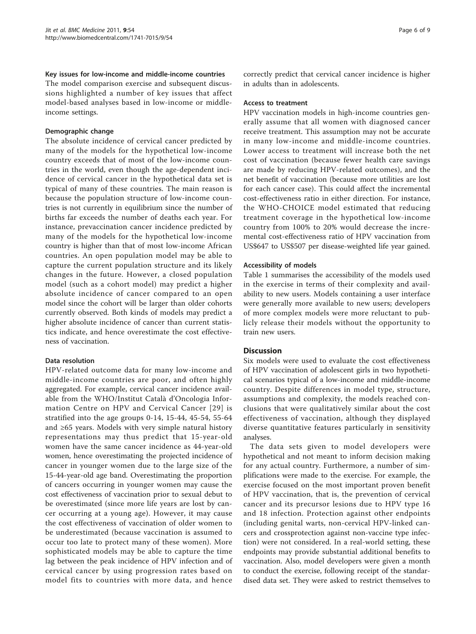Key issues for low-income and middle-income countries

The model comparison exercise and subsequent discussions highlighted a number of key issues that affect model-based analyses based in low-income or middleincome settings.

## Demographic change

The absolute incidence of cervical cancer predicted by many of the models for the hypothetical low-income country exceeds that of most of the low-income countries in the world, even though the age-dependent incidence of cervical cancer in the hypothetical data set is typical of many of these countries. The main reason is because the population structure of low-income countries is not currently in equilibrium since the number of births far exceeds the number of deaths each year. For instance, prevaccination cancer incidence predicted by many of the models for the hypothetical low-income country is higher than that of most low-income African countries. An open population model may be able to capture the current population structure and its likely changes in the future. However, a closed population model (such as a cohort model) may predict a higher absolute incidence of cancer compared to an open model since the cohort will be larger than older cohorts currently observed. Both kinds of models may predict a higher absolute incidence of cancer than current statistics indicate, and hence overestimate the cost effectiveness of vaccination.

## Data resolution

HPV-related outcome data for many low-income and middle-income countries are poor, and often highly aggregated. For example, cervical cancer incidence available from the WHO/Institut Català d'Oncologia Information Centre on HPV and Cervical Cancer [[29](#page-8-0)] is stratified into the age groups 0-14, 15-44, 45-54, 55-64 and ≥65 years. Models with very simple natural history representations may thus predict that 15-year-old women have the same cancer incidence as 44-year-old women, hence overestimating the projected incidence of cancer in younger women due to the large size of the 15-44-year-old age band. Overestimating the proportion of cancers occurring in younger women may cause the cost effectiveness of vaccination prior to sexual debut to be overestimated (since more life years are lost by cancer occurring at a young age). However, it may cause the cost effectiveness of vaccination of older women to be underestimated (because vaccination is assumed to occur too late to protect many of these women). More sophisticated models may be able to capture the time lag between the peak incidence of HPV infection and of cervical cancer by using progression rates based on model fits to countries with more data, and hence

correctly predict that cervical cancer incidence is higher in adults than in adolescents.

## Access to treatment

HPV vaccination models in high-income countries generally assume that all women with diagnosed cancer receive treatment. This assumption may not be accurate in many low-income and middle-income countries. Lower access to treatment will increase both the net cost of vaccination (because fewer health care savings are made by reducing HPV-related outcomes), and the net benefit of vaccination (because more utilities are lost for each cancer case). This could affect the incremental cost-effectiveness ratio in either direction. For instance, the WHO-CHOICE model estimated that reducing treatment coverage in the hypothetical low-income country from 100% to 20% would decrease the incremental cost-effectiveness ratio of HPV vaccination from US\$647 to US\$507 per disease-weighted life year gained.

## Accessibility of models

Table [1](#page-6-0) summarises the accessibility of the models used in the exercise in terms of their complexity and availability to new users. Models containing a user interface were generally more available to new users; developers of more complex models were more reluctant to publicly release their models without the opportunity to train new users.

## **Discussion**

Six models were used to evaluate the cost effectiveness of HPV vaccination of adolescent girls in two hypothetical scenarios typical of a low-income and middle-income country. Despite differences in model type, structure, assumptions and complexity, the models reached conclusions that were qualitatively similar about the cost effectiveness of vaccination, although they displayed diverse quantitative features particularly in sensitivity analyses.

The data sets given to model developers were hypothetical and not meant to inform decision making for any actual country. Furthermore, a number of simplifications were made to the exercise. For example, the exercise focused on the most important proven benefit of HPV vaccination, that is, the prevention of cervical cancer and its precursor lesions due to HPV type 16 and 18 infection. Protection against other endpoints (including genital warts, non-cervical HPV-linked cancers and crossprotection against non-vaccine type infection) were not considered. In a real-world setting, these endpoints may provide substantial additional benefits to vaccination. Also, model developers were given a month to conduct the exercise, following receipt of the standardised data set. They were asked to restrict themselves to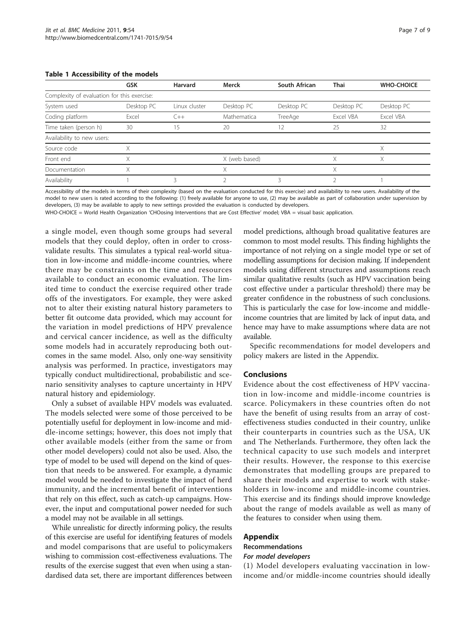<span id="page-6-0"></span>

|                                             | <b>GSK</b> | <b>Harvard</b> | Merck         | South African | Thai             | <b>WHO-CHOICE</b> |
|---------------------------------------------|------------|----------------|---------------|---------------|------------------|-------------------|
| Complexity of evaluation for this exercise: |            |                |               |               |                  |                   |
| System used                                 | Desktop PC | Linux cluster  | Desktop PC    | Desktop PC    | Desktop PC       | Desktop PC        |
| Coding platform                             | Excel      | $C++$          | Mathematica   | TreeAge       | <b>Fxcel VBA</b> | Excel VBA         |
| Time taken (person h)                       | 30         | 15             | 20            | 12            | 25               | 32                |
| Availability to new users:                  |            |                |               |               |                  |                   |
| Source code                                 | Χ          |                |               |               |                  | X                 |
| Front end                                   | X          |                | X (web based) |               | X                | X                 |
| Documentation                               | Χ          |                | Χ             |               | Χ                |                   |
| Availability                                |            |                |               | ς             | ำ                |                   |

Accessibility of the models in terms of their complexity (based on the evaluation conducted for this exercise) and availability to new users. Availability of the model to new users is rated according to the following: (1) freely available for anyone to use, (2) may be available as part of collaboration under supervision by developers, (3) may be available to apply to new settings provided the evaluation is conducted by developers.

WHO-CHOICE = World Health Organization 'CHOosing Interventions that are Cost Effective' model; VBA = visual basic application.

a single model, even though some groups had several models that they could deploy, often in order to crossvalidate results. This simulates a typical real-world situation in low-income and middle-income countries, where there may be constraints on the time and resources available to conduct an economic evaluation. The limited time to conduct the exercise required other trade offs of the investigators. For example, they were asked not to alter their existing natural history parameters to better fit outcome data provided, which may account for the variation in model predictions of HPV prevalence and cervical cancer incidence, as well as the difficulty some models had in accurately reproducing both outcomes in the same model. Also, only one-way sensitivity analysis was performed. In practice, investigators may typically conduct multidirectional, probabilistic and scenario sensitivity analyses to capture uncertainty in HPV natural history and epidemiology.

Only a subset of available HPV models was evaluated. The models selected were some of those perceived to be potentially useful for deployment in low-income and middle-income settings; however, this does not imply that other available models (either from the same or from other model developers) could not also be used. Also, the type of model to be used will depend on the kind of question that needs to be answered. For example, a dynamic model would be needed to investigate the impact of herd immunity, and the incremental benefit of interventions that rely on this effect, such as catch-up campaigns. However, the input and computational power needed for such a model may not be available in all settings.

While unrealistic for directly informing policy, the results of this exercise are useful for identifying features of models and model comparisons that are useful to policymakers wishing to commission cost-effectiveness evaluations. The results of the exercise suggest that even when using a standardised data set, there are important differences between

model predictions, although broad qualitative features are common to most model results. This finding highlights the importance of not relying on a single model type or set of modelling assumptions for decision making. If independent models using different structures and assumptions reach similar qualitative results (such as HPV vaccination being cost effective under a particular threshold) there may be greater confidence in the robustness of such conclusions. This is particularly the case for low-income and middleincome countries that are limited by lack of input data, and hence may have to make assumptions where data are not available.

Specific recommendations for model developers and policy makers are listed in the Appendix.

## Conclusions

Evidence about the cost effectiveness of HPV vaccination in low-income and middle-income countries is scarce. Policymakers in these countries often do not have the benefit of using results from an array of costeffectiveness studies conducted in their country, unlike their counterparts in countries such as the USA, UK and The Netherlands. Furthermore, they often lack the technical capacity to use such models and interpret their results. However, the response to this exercise demonstrates that modelling groups are prepared to share their models and expertise to work with stakeholders in low-income and middle-income countries. This exercise and its findings should improve knowledge about the range of models available as well as many of the features to consider when using them.

#### Appendix

## Recommendations

## For model developers

(1) Model developers evaluating vaccination in lowincome and/or middle-income countries should ideally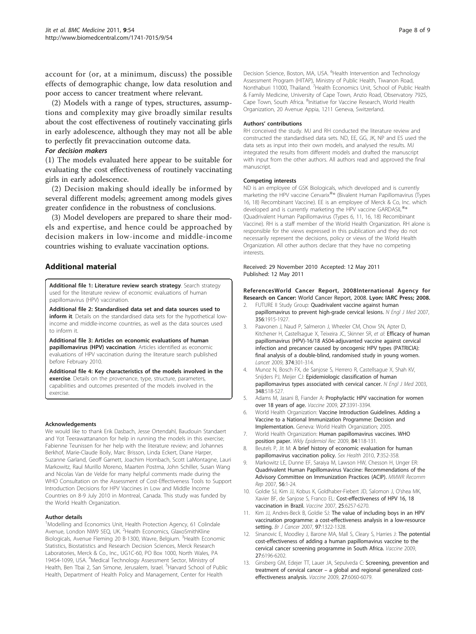<span id="page-7-0"></span>account for (or, at a minimum, discuss) the possible effects of demographic change, low data resolution and poor access to cancer treatment where relevant.

(2) Models with a range of types, structures, assumptions and complexity may give broadly similar results about the cost effectiveness of routinely vaccinating girls in early adolescence, although they may not all be able to perfectly fit prevaccination outcome data.

### For decision makers

(1) The models evaluated here appear to be suitable for evaluating the cost effectiveness of routinely vaccinating girls in early adolescence.

(2) Decision making should ideally be informed by several different models; agreement among models gives greater confidence in the robustness of conclusions.

(3) Model developers are prepared to share their models and expertise, and hence could be approached by decision makers in low-income and middle-income countries wishing to evaluate vaccination options.

## Additional material

[Additional file 1: L](http://www.biomedcentral.com/content/supplementary/1741-7015-9-54-S1.DOC)iterature review search strategy. Search strategy used for the literature review of economic evaluations of human papillomavirus (HPV) vaccination.

[Additional file 2: S](http://www.biomedcentral.com/content/supplementary/1741-7015-9-54-S2.DOCX)tandardised data set and data sources used to inform it. Details on the standardised data sets for the hypothetical lowincome and middle-income countries, as well as the data sources used to inform it.

[Additional file 3: A](http://www.biomedcentral.com/content/supplementary/1741-7015-9-54-S3.XLS)rticles on economic evaluations of human papillomavirus (HPV) vaccination. Articles identified as economic evaluations of HPV vaccination during the literature search published before February 2010.

[Additional file 4: K](http://www.biomedcentral.com/content/supplementary/1741-7015-9-54-S4.DOC)ey characteristics of the models involved in the exercise. Details on the provenance, type, structure, parameters, capabilities and outcomes presented of the models involved in the exercise.

#### Acknowledgements

We would like to thank Erik Dasbach, Jesse Ortendahl, Baudouin Standaert and Yot Teerawattananon for help in running the models in this exercise; Fabienne Teunissen for her help with the literature review; and Johannes Berkhof, Marie-Claude Boily, Marc Brisson, Linda Eckert, Diane Harper, Suzanne Garland, Geoff Garnett, Joachim Hombach, Scott LaMontagne, Lauri Markowitz, Raul Murillo Moreno, Maarten Postma, John Schiller, Susan Wang and Nicolas Van de Velde for many helpful comments made during the WHO Consultation on the Assessment of Cost-Effectiveness Tools to Support Introduction Decisions for HPV Vaccines in Low and Middle Income Countries on 8-9 July 2010 in Montreal, Canada. This study was funded by the World Health Organization.

#### Author details

<sup>1</sup>Modelling and Economics Unit, Health Protection Agency, 61 Colindale Avenue, London NW9 5EQ, UK. <sup>2</sup>Health Economics, GlaxoSmithKline Biologicals, Avenue Fleming 20 B-1300, Wavre, Belgium. <sup>3</sup>Health Economic Statistics, Biostatistics and Research Decision Sciences, Merck Research Laboratories, Merck & Co., Inc., UG1C-60, PO Box 1000, North Wales, PA 19454-1099, USA. <sup>4</sup>Medical Technology Assessment Sector, Ministry of Health, Ben Tbai 2, San Simone, Jerusalem, Israel. <sup>5</sup>Harvard School of Public Health, Department of Health Policy and Management, Center for Health

Decision Science, Boston, MA, USA. <sup>6</sup> Health Intervention and Technology Assessment Program (HITAP), Ministry of Public Health, Tiwanon Road, Nonthaburi 11000, Thailand. <sup>7</sup> Health Economics Unit, School of Public Health & Family Medicine, University of Cape Town, Anzio Road, Observatory 7925, Cape Town, South Africa. <sup>8</sup>Initiative for Vaccine Research, World Health Organization, 20 Avenue Appia, 1211 Geneva, Switzerland.

#### Authors' contributions

RH conceived the study. MJ and RH conducted the literature review and constructed the standardised data sets. ND, EE, GG, JK, NP and ES used the data sets as input into their own models, and analysed the results. MJ integrated the results from different models and drafted the manuscript with input from the other authors. All authors read and approved the final manuscript.

#### Competing interests

ND is an employee of GSK Biologicals, which developed and is currently marketing the HPV vaccine Cervarix®® (Bivalent Human Papillomavirus (Types 16, 18) Recombinant Vaccine). EE is an employee of Merck & Co, Inc. which developed and is currently marketing the HPV vaccine GARDASIL®® (Quadrivalent Human Papillomavirus (Types 6, 11, 16, 18) Recombinant Vaccine). RH is a staff member of the World Health Organization. RH alone is responsible for the views expressed in this publication and they do not necessarily represent the decisions, policy or views of the World Health Organization. All other authors declare that they have no competing interests.

Received: 29 November 2010 Accepted: 12 May 2011 Published: 12 May 2011

#### ReferencesWorld Cancer Report, 2008International Agency for Research on Cancer: World Cancer Report, 2008. Lyon: IARC Press; 2008.

- 2. FUTURE II Study Group: [Quadrivalent vaccine against human](http://www.ncbi.nlm.nih.gov/pubmed/17494925?dopt=Abstract) [papillomavirus to prevent high-grade cervical lesions.](http://www.ncbi.nlm.nih.gov/pubmed/17494925?dopt=Abstract) N Engl J Med 2007, 356:1915-1927.
- 3. Paavonen J, Naud P, Salmeron J, Wheeler CM, Chow SN, Apter D, Kitchener H, Castellsague X, Teixeira JC, Skinner SR, et al: [Efficacy of human](http://www.ncbi.nlm.nih.gov/pubmed/19586656?dopt=Abstract) [papillomavirus \(HPV\)-16/18 AS04-adjuvanted vaccine against cervical](http://www.ncbi.nlm.nih.gov/pubmed/19586656?dopt=Abstract) [infection and precancer caused by oncogenic HPV types \(PATRICIA\):](http://www.ncbi.nlm.nih.gov/pubmed/19586656?dopt=Abstract) [final analysis of a double-blind, randomised study in young women.](http://www.ncbi.nlm.nih.gov/pubmed/19586656?dopt=Abstract) Lancet 2009, 374:301-314.
- 4. Munoz N, Bosch FX, de Sanjose S, Herrero R, Castellsague X, Shah KV, Snijders PJ, Meijer CJ: [Epidemiologic classification of human](http://www.ncbi.nlm.nih.gov/pubmed/12571259?dopt=Abstract) [papillomavirus types associated with cervical cancer.](http://www.ncbi.nlm.nih.gov/pubmed/12571259?dopt=Abstract) N Engl J Med 2003, 348:518-527.
- 5. Adams M, Jasani B, Fiander A: [Prophylactic HPV vaccination for women](http://www.ncbi.nlm.nih.gov/pubmed/19200838?dopt=Abstract) [over 18 years of age.](http://www.ncbi.nlm.nih.gov/pubmed/19200838?dopt=Abstract) Vaccine 2009, 27:3391-3394.
- 6. World Health Organization: Vaccine Introduction Guidelines. Adding a Vaccine to a National Immunization Programme: Decision and Implementation. Geneva: World Health Organization; 2005.
- 7. World Health Organization: [Human papillomavirus vaccines. WHO](http://www.ncbi.nlm.nih.gov/pubmed/19360985?dopt=Abstract) [position paper.](http://www.ncbi.nlm.nih.gov/pubmed/19360985?dopt=Abstract) Wkly Epidemiol Rec 2009, 84:118-131.
- 8. Beutels P, Jit M: [A brief history of economic evaluation for human](http://www.ncbi.nlm.nih.gov/pubmed/20719227?dopt=Abstract) [papillomavirus vaccination policy.](http://www.ncbi.nlm.nih.gov/pubmed/20719227?dopt=Abstract) Sex Health 2010, 7:352-358.
- 9. Markowitz LE, Dunne EF, Saraiya M, Lawson HW, Chesson H, Unger ER: [Quadrivalent Human Papillomavirus Vaccine: Recommendations of the](http://www.ncbi.nlm.nih.gov/pubmed/18046302?dopt=Abstract) [Advisory Committee on Immunization Practices \(ACIP\).](http://www.ncbi.nlm.nih.gov/pubmed/18046302?dopt=Abstract) MMWR Recomm Rep 2007, 56:1-24.
- 10. Goldie SJ, Kim JJ, Kobus K, Goldhaber-Fiebert JD, Salomon J, O'shea MK, Xavier BF, de Sanjose S, Franco EL: [Cost-effectiveness of HPV 16, 18](http://www.ncbi.nlm.nih.gov/pubmed/17606315?dopt=Abstract) [vaccination in Brazil.](http://www.ncbi.nlm.nih.gov/pubmed/17606315?dopt=Abstract) Vaccine 2007, 25:6257-6270.
- 11. Kim JJ, Andres-Beck B, Goldie SJ: [The value of including boys in an HPV](http://www.ncbi.nlm.nih.gov/pubmed/17923869?dopt=Abstract) [vaccination programme: a cost-effectiveness analysis in a low-resource](http://www.ncbi.nlm.nih.gov/pubmed/17923869?dopt=Abstract) [setting.](http://www.ncbi.nlm.nih.gov/pubmed/17923869?dopt=Abstract) Br J Cancer 2007, 97:1322-1328.
- 12. Sinanovic E, Moodley J, Barone MA, Mall S, Cleary S, Harries J: [The potential](http://www.ncbi.nlm.nih.gov/pubmed/19698807?dopt=Abstract) [cost-effectiveness of adding a human papillomavirus vaccine to the](http://www.ncbi.nlm.nih.gov/pubmed/19698807?dopt=Abstract) [cervical cancer screening programme in South Africa.](http://www.ncbi.nlm.nih.gov/pubmed/19698807?dopt=Abstract) Vaccine 2009, 27:6196-6202.
- 13. Ginsberg GM, Edejer TT, Lauer JA, Sepulveda C: [Screening, prevention and](http://www.ncbi.nlm.nih.gov/pubmed/19647813?dopt=Abstract) treatment of cervical cancer – [a global and regional generalized cost](http://www.ncbi.nlm.nih.gov/pubmed/19647813?dopt=Abstract)[effectiveness analysis.](http://www.ncbi.nlm.nih.gov/pubmed/19647813?dopt=Abstract) Vaccine 2009, 27:6060-6079.